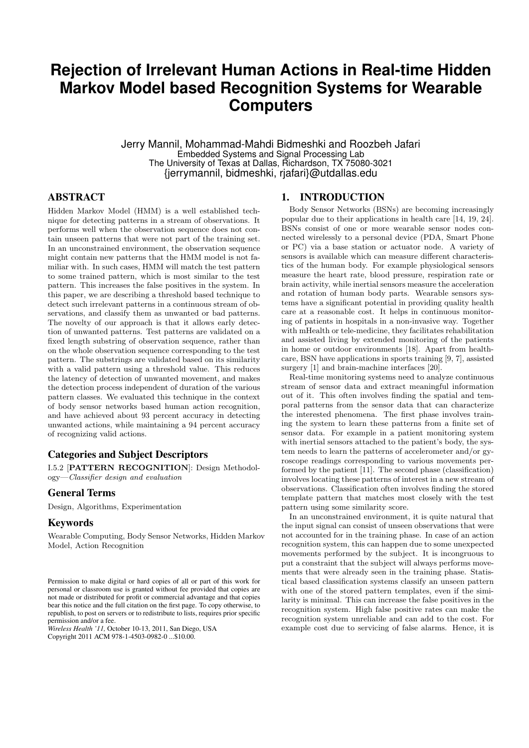# **Rejection of Irrelevant Human Actions in Real-time Hidden Markov Model based Recognition Systems for Wearable Computers**

Jerry Mannil, Mohammad-Mahdi Bidmeshki and Roozbeh Jafari Embedded Systems and Signal Processing Lab The University of Texas at Dallas, Richardson, TX 75080-3021 {jerrymannil, bidmeshki, rjafari}@utdallas.edu

# ABSTRACT

Hidden Markov Model (HMM) is a well established technique for detecting patterns in a stream of observations. It performs well when the observation sequence does not contain unseen patterns that were not part of the training set. In an unconstrained environment, the observation sequence might contain new patterns that the HMM model is not familiar with. In such cases, HMM will match the test pattern to some trained pattern, which is most similar to the test pattern. This increases the false positives in the system. In this paper, we are describing a threshold based technique to detect such irrelevant patterns in a continuous stream of observations, and classify them as unwanted or bad patterns. The novelty of our approach is that it allows early detection of unwanted patterns. Test patterns are validated on a fixed length substring of observation sequence, rather than on the whole observation sequence corresponding to the test pattern. The substrings are validated based on its similarity with a valid pattern using a threshold value. This reduces the latency of detection of unwanted movement, and makes the detection process independent of duration of the various pattern classes. We evaluated this technique in the context of body sensor networks based human action recognition, and have achieved about 93 percent accuracy in detecting unwanted actions, while maintaining a 94 percent accuracy of recognizing valid actions.

# Categories and Subject Descriptors

I.5.2 [PATTERN RECOGNITION]: Design Methodology—Classifier design and evaluation

## General Terms

Design, Algorithms, Experimentation

#### Keywords

Wearable Computing, Body Sensor Networks, Hidden Markov Model, Action Recognition

*Wireless Health '11,* October 10-13, 2011, San Diego, USA Copyright 2011 ACM 978-1-4503-0982-0 ...\$10.00.

#### 1. INTRODUCTION

Body Sensor Networks (BSNs) are becoming increasingly popular due to their applications in health care [14, 19, 24]. BSNs consist of one or more wearable sensor nodes connected wirelessly to a personal device (PDA, Smart Phone or PC) via a base station or actuator node. A variety of sensors is available which can measure different characteristics of the human body. For example physiological sensors measure the heart rate, blood pressure, respiration rate or brain activity, while inertial sensors measure the acceleration and rotation of human body parts. Wearable sensors systems have a significant potential in providing quality health care at a reasonable cost. It helps in continuous monitoring of patients in hospitals in a non-invasive way. Together with mHealth or tele-medicine, they facilitates rehabilitation and assisted living by extended monitoring of the patients in home or outdoor environments [18]. Apart from healthcare, BSN have applications in sports training [9, 7], assisted surgery [1] and brain-machine interfaces [20].

Real-time monitoring systems need to analyze continuous stream of sensor data and extract meaningful information out of it. This often involves finding the spatial and temporal patterns from the sensor data that can characterize the interested phenomena. The first phase involves training the system to learn these patterns from a finite set of sensor data. For example in a patient monitoring system with inertial sensors attached to the patient's body, the system needs to learn the patterns of accelerometer and/or gyroscope readings corresponding to various movements performed by the patient [11]. The second phase (classification) involves locating these patterns of interest in a new stream of observations. Classification often involves finding the stored template pattern that matches most closely with the test pattern using some similarity score.

In an unconstrained environment, it is quite natural that the input signal can consist of unseen observations that were not accounted for in the training phase. In case of an action recognition system, this can happen due to some unexpected movements performed by the subject. It is incongruous to put a constraint that the subject will always performs movements that were already seen in the training phase. Statistical based classification systems classify an unseen pattern with one of the stored pattern templates, even if the similarity is minimal. This can increase the false positives in the recognition system. High false positive rates can make the recognition system unreliable and can add to the cost. For example cost due to servicing of false alarms. Hence, it is

Permission to make digital or hard copies of all or part of this work for personal or classroom use is granted without fee provided that copies are not made or distributed for profit or commercial advantage and that copies bear this notice and the full citation on the first page. To copy otherwise, to republish, to post on servers or to redistribute to lists, requires prior specific permission and/or a fee.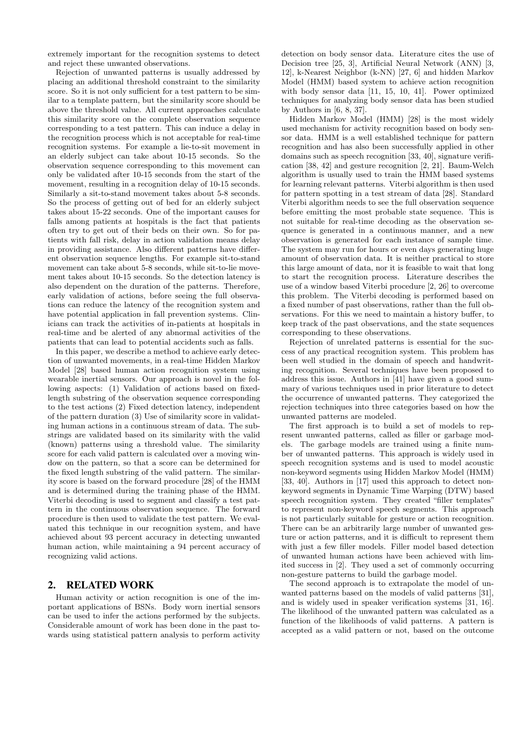extremely important for the recognition systems to detect and reject these unwanted observations.

Rejection of unwanted patterns is usually addressed by placing an additional threshold constraint to the similarity score. So it is not only sufficient for a test pattern to be similar to a template pattern, but the similarity score should be above the threshold value. All current approaches calculate this similarity score on the complete observation sequence corresponding to a test pattern. This can induce a delay in the recognition process which is not acceptable for real-time recognition systems. For example a lie-to-sit movement in an elderly subject can take about 10-15 seconds. So the observation sequence corresponding to this movement can only be validated after 10-15 seconds from the start of the movement, resulting in a recognition delay of 10-15 seconds. Similarly a sit-to-stand movement takes about 5-8 seconds. So the process of getting out of bed for an elderly subject takes about 15-22 seconds. One of the important causes for falls among patients at hospitals is the fact that patients often try to get out of their beds on their own. So for patients with fall risk, delay in action validation means delay in providing assistance. Also different patterns have different observation sequence lengths. For example sit-to-stand movement can take about 5-8 seconds, while sit-to-lie movement takes about 10-15 seconds. So the detection latency is also dependent on the duration of the patterns. Therefore, early validation of actions, before seeing the full observations can reduce the latency of the recognition system and have potential application in fall prevention systems. Clinicians can track the activities of in-patients at hospitals in real-time and be alerted of any abnormal activities of the patients that can lead to potential accidents such as falls.

In this paper, we describe a method to achieve early detection of unwanted movements, in a real-time Hidden Markov Model [28] based human action recognition system using wearable inertial sensors. Our approach is novel in the following aspects: (1) Validation of actions based on fixedlength substring of the observation sequence corresponding to the test actions (2) Fixed detection latency, independent of the pattern duration (3) Use of similarity score in validating human actions in a continuous stream of data. The substrings are validated based on its similarity with the valid (known) patterns using a threshold value. The similarity score for each valid pattern is calculated over a moving window on the pattern, so that a score can be determined for the fixed length substring of the valid pattern. The similarity score is based on the forward procedure [28] of the HMM and is determined during the training phase of the HMM. Viterbi decoding is used to segment and classify a test pattern in the continuous observation sequence. The forward procedure is then used to validate the test pattern. We evaluated this technique in our recognition system, and have achieved about 93 percent accuracy in detecting unwanted human action, while maintaining a 94 percent accuracy of recognizing valid actions.

# 2. RELATED WORK

Human activity or action recognition is one of the important applications of BSNs. Body worn inertial sensors can be used to infer the actions performed by the subjects. Considerable amount of work has been done in the past towards using statistical pattern analysis to perform activity

detection on body sensor data. Literature cites the use of Decision tree [25, 3], Artificial Neural Network (ANN) [3, 12], k-Nearest Neighbor (k-NN) [27, 6] and hidden Markov Model (HMM) based system to achieve action recognition with body sensor data [11, 15, 10, 41]. Power optimized techniques for analyzing body sensor data has been studied by Authors in [6, 8, 37].

Hidden Markov Model (HMM) [28] is the most widely used mechanism for activity recognition based on body sensor data. HMM is a well established technique for pattern recognition and has also been successfully applied in other domains such as speech recognition [33, 40], signature verification [38, 42] and gesture recognition [2, 21]. Baum-Welch algorithm is usually used to train the HMM based systems for learning relevant patterns. Viterbi algorithm is then used for pattern spotting in a test stream of data [28]. Standard Viterbi algorithm needs to see the full observation sequence before emitting the most probable state sequence. This is not suitable for real-time decoding as the observation sequence is generated in a continuous manner, and a new observation is generated for each instance of sample time. The system may run for hours or even days generating huge amount of observation data. It is neither practical to store this large amount of data, nor it is feasible to wait that long to start the recognition process. Literature describes the use of a window based Viterbi procedure [2, 26] to overcome this problem. The Viterbi decoding is performed based on a fixed number of past observations, rather than the full observations. For this we need to maintain a history buffer, to keep track of the past observations, and the state sequences corresponding to these observations.

Rejection of unrelated patterns is essential for the success of any practical recognition system. This problem has been well studied in the domain of speech and handwriting recognition. Several techniques have been proposed to address this issue. Authors in [41] have given a good summary of various techniques used in prior literature to detect the occurrence of unwanted patterns. They categorized the rejection techniques into three categories based on how the unwanted patterns are modeled.

The first approach is to build a set of models to represent unwanted patterns, called as filler or garbage models. The garbage models are trained using a finite number of unwanted patterns. This approach is widely used in speech recognition systems and is used to model acoustic non-keyword segments using Hidden Markov Model (HMM) [33, 40]. Authors in [17] used this approach to detect nonkeyword segments in Dynamic Time Warping (DTW) based speech recognition system. They created "filler templates" to represent non-keyword speech segments. This approach is not particularly suitable for gesture or action recognition. There can be an arbitrarily large number of unwanted gesture or action patterns, and it is difficult to represent them with just a few filler models. Filler model based detection of unwanted human actions have been achieved with limited success in [2]. They used a set of commonly occurring non-gesture patterns to build the garbage model.

The second approach is to extrapolate the model of unwanted patterns based on the models of valid patterns [31], and is widely used in speaker verification systems [31, 16]. The likelihood of the unwanted pattern was calculated as a function of the likelihoods of valid patterns. A pattern is accepted as a valid pattern or not, based on the outcome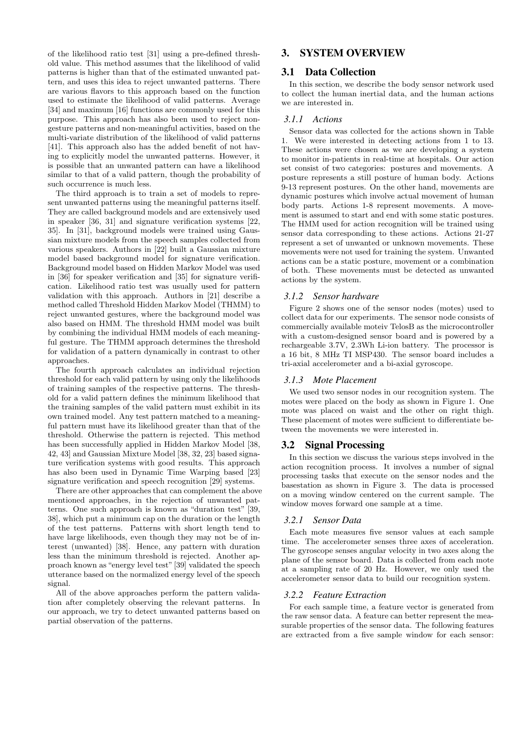of the likelihood ratio test [31] using a pre-defined threshold value. This method assumes that the likelihood of valid patterns is higher than that of the estimated unwanted pattern, and uses this idea to reject unwanted patterns. There are various flavors to this approach based on the function used to estimate the likelihood of valid patterns. Average [34] and maximum [16] functions are commonly used for this purpose. This approach has also been used to reject nongesture patterns and non-meaningful activities, based on the multi-variate distribution of the likelihood of valid patterns [41]. This approach also has the added benefit of not having to explicitly model the unwanted patterns. However, it is possible that an unwanted pattern can have a likelihood similar to that of a valid pattern, though the probability of such occurrence is much less.

The third approach is to train a set of models to represent unwanted patterns using the meaningful patterns itself. They are called background models and are extensively used in speaker [36, 31] and signature verification systems [22, 35]. In [31], background models were trained using Gaussian mixture models from the speech samples collected from various speakers. Authors in [22] built a Gaussian mixture model based background model for signature verification. Background model based on Hidden Markov Model was used in [36] for speaker verification and [35] for signature verification. Likelihood ratio test was usually used for pattern validation with this approach. Authors in [21] describe a method called Threshold Hidden Markov Model (THMM) to reject unwanted gestures, where the background model was also based on HMM. The threshold HMM model was built by combining the individual HMM models of each meaningful gesture. The THMM approach determines the threshold for validation of a pattern dynamically in contrast to other approaches.

The fourth approach calculates an individual rejection threshold for each valid pattern by using only the likelihoods of training samples of the respective patterns. The threshold for a valid pattern defines the minimum likelihood that the training samples of the valid pattern must exhibit in its own trained model. Any test pattern matched to a meaningful pattern must have its likelihood greater than that of the threshold. Otherwise the pattern is rejected. This method has been successfully applied in Hidden Markov Model [38, 42, 43] and Gaussian Mixture Model [38, 32, 23] based signature verification systems with good results. This approach has also been used in Dynamic Time Warping based [23] signature verification and speech recognition [29] systems.

There are other approaches that can complement the above mentioned approaches, in the rejection of unwanted patterns. One such approach is known as "duration test" [39, 38], which put a minimum cap on the duration or the length of the test patterns. Patterns with short length tend to have large likelihoods, even though they may not be of interest (unwanted) [38]. Hence, any pattern with duration less than the minimum threshold is rejected. Another approach known as "energy level test" [39] validated the speech utterance based on the normalized energy level of the speech signal.

All of the above approaches perform the pattern validation after completely observing the relevant patterns. In our approach, we try to detect unwanted patterns based on partial observation of the patterns.

# 3. SYSTEM OVERVIEW

#### 3.1 Data Collection

In this section, we describe the body sensor network used to collect the human inertial data, and the human actions we are interested in.

#### *3.1.1 Actions*

Sensor data was collected for the actions shown in Table 1. We were interested in detecting actions from 1 to 13. These actions were chosen as we are developing a system to monitor in-patients in real-time at hospitals. Our action set consist of two categories: postures and movements. A posture represents a still posture of human body. Actions 9-13 represent postures. On the other hand, movements are dynamic postures which involve actual movement of human body parts. Actions 1-8 represent movements. A movement is assumed to start and end with some static postures. The HMM used for action recognition will be trained using sensor data corresponding to these actions. Actions 21-27 represent a set of unwanted or unknown movements. These movements were not used for training the system. Unwanted actions can be a static posture, movement or a combination of both. These movements must be detected as unwanted actions by the system.

#### *3.1.2 Sensor hardware*

Figure 2 shows one of the sensor nodes (motes) used to collect data for our experiments. The sensor node consists of commercially available moteiv TelosB as the microcontroller with a custom-designed sensor board and is powered by a rechargeable 3.7V, 2.3Wh Li-ion battery. The processor is a 16 bit, 8 MHz TI MSP430. The sensor board includes a tri-axial accelerometer and a bi-axial gyroscope.

#### *3.1.3 Mote Placement*

We used two sensor nodes in our recognition system. The motes were placed on the body as shown in Figure 1. One mote was placed on waist and the other on right thigh. These placement of motes were sufficient to differentiate between the movements we were interested in.

#### 3.2 Signal Processing

In this section we discuss the various steps involved in the action recognition process. It involves a number of signal processing tasks that execute on the sensor nodes and the basestation as shown in Figure 3. The data is processed on a moving window centered on the current sample. The window moves forward one sample at a time.

#### *3.2.1 Sensor Data*

Each mote measures five sensor values at each sample time. The accelerometer senses three axes of acceleration. The gyroscope senses angular velocity in two axes along the plane of the sensor board. Data is collected from each mote at a sampling rate of 20 Hz. However, we only used the accelerometer sensor data to build our recognition system.

#### *3.2.2 Feature Extraction*

For each sample time, a feature vector is generated from the raw sensor data. A feature can better represent the measurable properties of the sensor data. The following features are extracted from a five sample window for each sensor: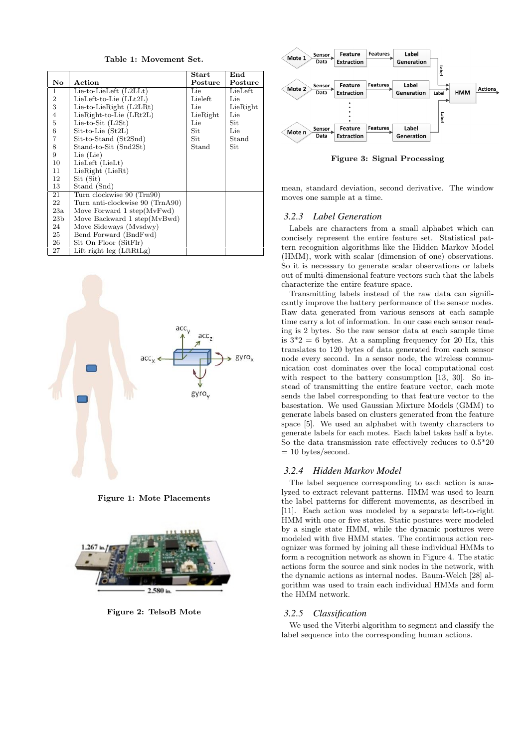Table 1: Movement Set.

|                         |                                      | Start    | $\mathbf{End}$ |
|-------------------------|--------------------------------------|----------|----------------|
| $\mathbf{N}\mathbf{o}$  | Action                               | Posture  | Posture        |
| $\mathbf 1$             | $Lie-to-LieLeft (L2LLt)$             | Lie      | LieLeft        |
| $\boldsymbol{2}$        | LieLeft-to-Lie (LLt2L)               | Lieleft  | Lie            |
| 3                       | Lie-to-LieRight (L2LRt)              | Lie      | LieRight       |
| $\overline{\mathbf{4}}$ | $LieRight-to-Lie (LRt2L)$            | LieRight | Lie            |
| $\bf 5$                 | Lie-to-Sit $(L2St)$                  | Lie      | Sit            |
| $\,6$                   | $\text{Sit-to-Lie (St2L)}$           | Sit      | Lie            |
| 7                       | Sit-to-Stand (St2Snd)                | Sit      | Stand          |
| 8                       | Stand-to-Sit (Snd2St)                | Stand    | Sit            |
| 9                       | Lie $(Lie)$                          |          |                |
| 10                      | LieLeft (LieLt)                      |          |                |
| 11                      | LieRight (LieRt)                     |          |                |
| 12                      | $\mathrm{Sit}(\mathrm{Sit})$         |          |                |
| 13                      | Stand (Snd)                          |          |                |
| 21                      | Turn clockwise 90 (Trn90)            |          |                |
| 22                      | Turn anti-clockwise 90 (TrnA90)      |          |                |
| 23a                     | Move Forward $1 \text{ step}(MvFwd)$ |          |                |
| 23 <sub>b</sub>         | Move Backward 1 step(MvBwd)          |          |                |
| 24                      | Move Sideways (Mysdwy)               |          |                |
| 25                      | Bend Forward (BndFwd)                |          |                |
| 26                      | Sit On Floor (SitFlr)                |          |                |
| 27                      | Lift right $leg(LftRtLg)$            |          |                |



Figure 1: Mote Placements



Figure 2: TelsoB Mote



Figure 3: Signal Processing

mean, standard deviation, second derivative. The window moves one sample at a time.

#### *3.2.3 Label Generation*

Labels are characters from a small alphabet which can concisely represent the entire feature set. Statistical pattern recognition algorithms like the Hidden Markov Model (HMM), work with scalar (dimension of one) observations. So it is necessary to generate scalar observations or labels out of multi-dimensional feature vectors such that the labels characterize the entire feature space.

Transmitting labels instead of the raw data can significantly improve the battery performance of the sensor nodes. Raw data generated from various sensors at each sample time carry a lot of information. In our case each sensor reading is 2 bytes. So the raw sensor data at each sample time is  $3^*2 = 6$  bytes. At a sampling frequency for 20 Hz, this translates to 120 bytes of data generated from each sensor node every second. In a sensor node, the wireless communication cost dominates over the local computational cost with respect to the battery consumption [13, 30]. So instead of transmitting the entire feature vector, each mote sends the label corresponding to that feature vector to the basestation. We used Gaussian Mixture Models (GMM) to generate labels based on clusters generated from the feature space [5]. We used an alphabet with twenty characters to generate labels for each motes. Each label takes half a byte. So the data transmission rate effectively reduces to  $0.5^*20$  $= 10$  bytes/second.

## *3.2.4 Hidden Markov Model*

The label sequence corresponding to each action is analyzed to extract relevant patterns. HMM was used to learn the label patterns for different movements, as described in [11]. Each action was modeled by a separate left-to-right HMM with one or five states. Static postures were modeled by a single state HMM, while the dynamic postures were modeled with five HMM states. The continuous action recognizer was formed by joining all these individual HMMs to form a recognition network as shown in Figure 4. The static actions form the source and sink nodes in the network, with the dynamic actions as internal nodes. Baum-Welch [28] algorithm was used to train each individual HMMs and form the HMM network.

#### *3.2.5 Classification*

We used the Viterbi algorithm to segment and classify the label sequence into the corresponding human actions.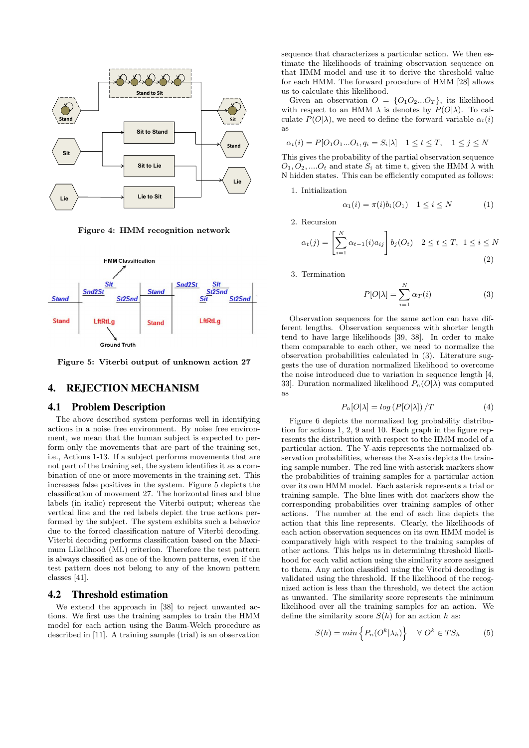

Figure 4: HMM recognition network



Figure 5: Viterbi output of unknown action 27

# 4. REJECTION MECHANISM

#### 4.1 Problem Description

The above described system performs well in identifying actions in a noise free environment. By noise free environment, we mean that the human subject is expected to perform only the movements that are part of the training set, i.e., Actions 1-13. If a subject performs movements that are not part of the training set, the system identifies it as a combination of one or more movements in the training set. This increases false positives in the system. Figure 5 depicts the classification of movement 27. The horizontal lines and blue labels (in italic) represent the Viterbi output; whereas the vertical line and the red labels depict the true actions performed by the subject. The system exhibits such a behavior due to the forced classification nature of Viterbi decoding. Viterbi decoding performs classification based on the Maximum Likelihood (ML) criterion. Therefore the test pattern is always classified as one of the known patterns, even if the test pattern does not belong to any of the known pattern classes [41].

#### 4.2 Threshold estimation

We extend the approach in [38] to reject unwanted actions. We first use the training samples to train the HMM model for each action using the Baum-Welch procedure as described in [11]. A training sample (trial) is an observation sequence that characterizes a particular action. We then estimate the likelihoods of training observation sequence on that HMM model and use it to derive the threshold value for each HMM. The forward procedure of HMM [28] allows us to calculate this likelihood.

Given an observation  $O = \{O_1O_2...O_T\}$ , its likelihood with respect to an HMM  $\lambda$  is denotes by  $P(O|\lambda)$ . To calculate  $P(O|\lambda)$ , we need to define the forward variable  $\alpha_t(i)$ as

$$
\alpha_t(i) = P[O_1O_1...O_t, q_i = S_i | \lambda] \quad 1 \le t \le T, \quad 1 \le j \le N
$$

This gives the probability of the partial observation sequence  $O_1, O_2, \ldots O_t$  and state  $S_i$  at time t, given the HMM  $\lambda$  with N hidden states. This can be efficiently computed as follows:

1. Initialization

$$
\alpha_1(i) = \pi(i)b_i(O_1) \quad 1 \le i \le N \tag{1}
$$

2. Recursion

$$
\alpha_t(j) = \left[\sum_{i=1}^N \alpha_{t-1}(i)a_{ij}\right] b_j(O_t) \quad 2 \le t \le T, \ 1 \le i \le N
$$
\n<sup>(2)</sup>

3. Termination

$$
P[O|\lambda] = \sum_{i=1}^{N} \alpha_T(i) \tag{3}
$$

Observation sequences for the same action can have different lengths. Observation sequences with shorter length tend to have large likelihoods [39, 38]. In order to make them comparable to each other, we need to normalize the observation probabilities calculated in (3). Literature suggests the use of duration normalized likelihood to overcome the noise introduced due to variation in sequence length [4, 33. Duration normalized likelihood  $P_n(O|\lambda)$  was computed as

$$
P_n[O|\lambda] = \log\left(P[O|\lambda]\right)/T\tag{4}
$$

Figure 6 depicts the normalized log probability distribution for actions 1, 2, 9 and 10. Each graph in the figure represents the distribution with respect to the HMM model of a particular action. The Y-axis represents the normalized observation probabilities, whereas the X-axis depicts the training sample number. The red line with asterisk markers show the probabilities of training samples for a particular action over its own HMM model. Each asterisk represents a trial or training sample. The blue lines with dot markers show the corresponding probabilities over training samples of other actions. The number at the end of each line depicts the action that this line represents. Clearly, the likelihoods of each action observation sequences on its own HMM model is comparatively high with respect to the training samples of other actions. This helps us in determining threshold likelihood for each valid action using the similarity score assigned to them. Any action classified using the Viterbi decoding is validated using the threshold. If the likelihood of the recognized action is less than the threshold, we detect the action as unwanted. The similarity score represents the minimum likelihood over all the training samples for an action. We define the similarity score  $S(h)$  for an action h as:

$$
S(h) = min\left\{ P_n(O^k|\lambda_h) \right\} \quad \forall \; O^k \in TS_h \tag{5}
$$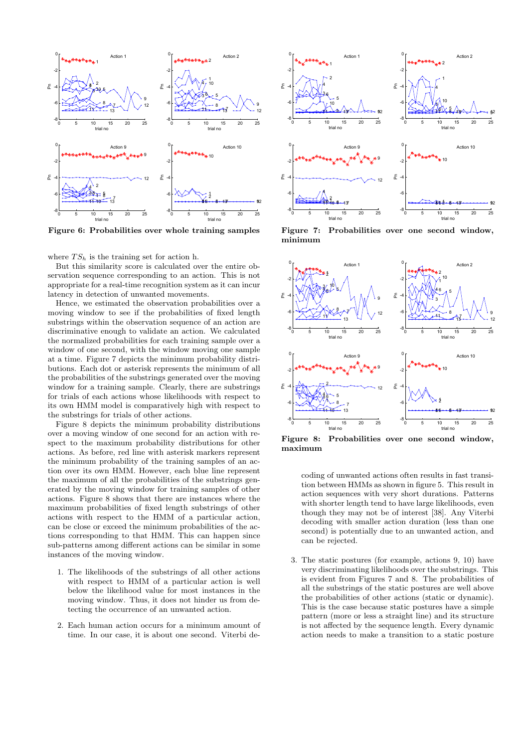

Figure 6: Probabilities over whole training samples

where  $TS_h$  is the training set for action h.

But this similarity score is calculated over the entire observation sequence corresponding to an action. This is not appropriate for a real-time recognition system as it can incur latency in detection of unwanted movements.

Hence, we estimated the observation probabilities over a moving window to see if the probabilities of fixed length substrings within the observation sequence of an action are discriminative enough to validate an action. We calculated the normalized probabilities for each training sample over a window of one second, with the window moving one sample at a time. Figure 7 depicts the minimum probability distributions. Each dot or asterisk represents the minimum of all the probabilities of the substrings generated over the moving window for a training sample. Clearly, there are substrings for trials of each actions whose likelihoods with respect to its own HMM model is comparatively high with respect to the substrings for trials of other actions.

Figure 8 depicts the minimum probability distributions over a moving window of one second for an action with respect to the maximum probability distributions for other actions. As before, red line with asterisk markers represent the minimum probability of the training samples of an action over its own HMM. However, each blue line represent the maximum of all the probabilities of the substrings generated by the moving window for training samples of other actions. Figure 8 shows that there are instances where the maximum probabilities of fixed length substrings of other actions with respect to the HMM of a particular action, can be close or exceed the minimum probabilities of the actions corresponding to that HMM. This can happen since sub-patterns among different actions can be similar in some instances of the moving window.

- 1. The likelihoods of the substrings of all other actions with respect to HMM of a particular action is well below the likelihood value for most instances in the moving window. Thus, it does not hinder us from detecting the occurrence of an unwanted action.
- 2. Each human action occurs for a minimum amount of time. In our case, it is about one second. Viterbi de-



Figure 7: Probabilities over one second window, minimum



Figure 8: Probabilities over one second window, maximum

coding of unwanted actions often results in fast transition between HMMs as shown in figure 5. This result in action sequences with very short durations. Patterns with shorter length tend to have large likelihoods, even though they may not be of interest [38]. Any Viterbi decoding with smaller action duration (less than one second) is potentially due to an unwanted action, and can be rejected.

3. The static postures (for example, actions 9, 10) have very discriminating likelihoods over the substrings. This is evident from Figures 7 and 8. The probabilities of all the substrings of the static postures are well above the probabilities of other actions (static or dynamic). This is the case because static postures have a simple pattern (more or less a straight line) and its structure is not affected by the sequence length. Every dynamic action needs to make a transition to a static posture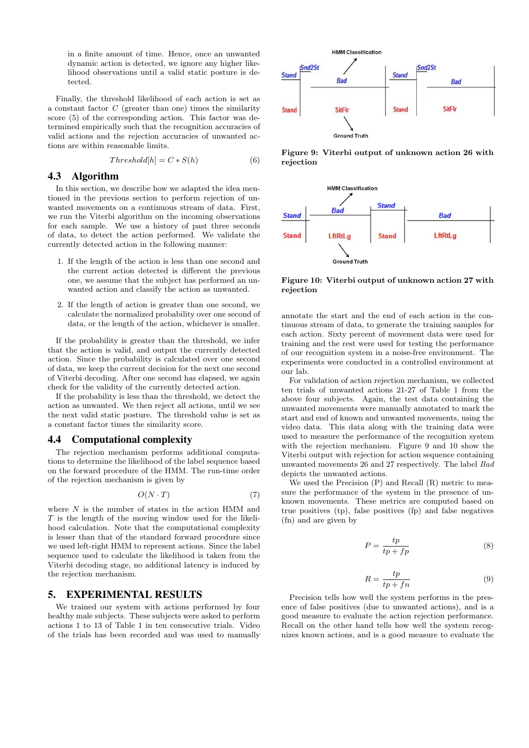in a finite amount of time. Hence, once an unwanted dynamic action is detected, we ignore any higher likelihood observations until a valid static posture is detected.

Finally, the threshold likelihood of each action is set as a constant factor C (greater than one) times the similarity score (5) of the corresponding action. This factor was determined empirically such that the recognition accuracies of valid actions and the rejection accuracies of unwanted actions are within reasonable limits.

$$
Threshold[h] = C * S(h)
$$
\n(6)

#### 4.3 Algorithm

In this section, we describe how we adapted the idea mentioned in the previous section to perform rejection of unwanted movements on a continuous stream of data. First, we run the Viterbi algorithm on the incoming observations for each sample. We use a history of past three seconds of data, to detect the action performed. We validate the currently detected action in the following manner:

- 1. If the length of the action is less than one second and the current action detected is different the previous one, we assume that the subject has performed an unwanted action and classify the action as unwanted.
- 2. If the length of action is greater than one second, we calculate the normalized probability over one second of data, or the length of the action, whichever is smaller.

If the probability is greater than the threshold, we infer that the action is valid, and output the currently detected action. Since the probability is calculated over one second of data, we keep the current decision for the next one second of Viterbi decoding. After one second has elapsed, we again check for the validity of the currently detected action.

If the probability is less than the threshold, we detect the action as unwanted. We then reject all actions, until we see the next valid static posture. The threshold value is set as a constant factor times the similarity score.

#### 4.4 Computational complexity

The rejection mechanism performs additional computations to determine the likelihood of the label sequence based on the forward procedure of the HMM. The run-time order of the rejection mechanism is given by

$$
O(N \cdot T) \tag{7}
$$

where  $N$  is the number of states in the action HMM and  $T$  is the length of the moving window used for the likelihood calculation. Note that the computational complexity is lesser than that of the standard forward procedure since we used left-right HMM to represent actions. Since the label sequence used to calculate the likelihood is taken from the Viterbi decoding stage, no additional latency is induced by the rejection mechanism.

#### 5. EXPERIMENTAL RESULTS

We trained our system with actions performed by four healthy male subjects. These subjects were asked to perform actions 1 to 13 of Table 1 in ten consecutive trials. Video of the trials has been recorded and was used to manually



Figure 9: Viterbi output of unknown action 26 with rejection



Figure 10: Viterbi output of unknown action 27 with rejection

annotate the start and the end of each action in the continuous stream of data, to generate the training samples for each action. Sixty percent of movement data were used for training and the rest were used for testing the performance of our recognition system in a noise-free environment. The experiments were conducted in a controlled environment at our lab.

For validation of action rejection mechanism, we collected ten trials of unwanted actions 21-27 of Table 1 from the above four subjects. Again, the test data containing the unwanted movements were manually annotated to mark the start and end of known and unwanted movements, using the video data. This data along with the training data were used to measure the performance of the recognition system with the rejection mechanism. Figure 9 and 10 show the Viterbi output with rejection for action sequence containing unwanted movements 26 and 27 respectively. The label Bad depicts the unwanted actions.

We used the Precision (P) and Recall (R) metric to measure the performance of the system in the presence of unknown movements. These metrics are computed based on true positives (tp), false positives (fp) and false negatives (fn) and are given by

$$
P = \frac{tp}{tp + fp} \tag{8}
$$

$$
R = \frac{tp}{tp + fn} \tag{9}
$$

Precision tells how well the system performs in the presence of false positives (due to unwanted actions), and is a good measure to evaluate the action rejection performance. Recall on the other hand tells how well the system recognizes known actions, and is a good measure to evaluate the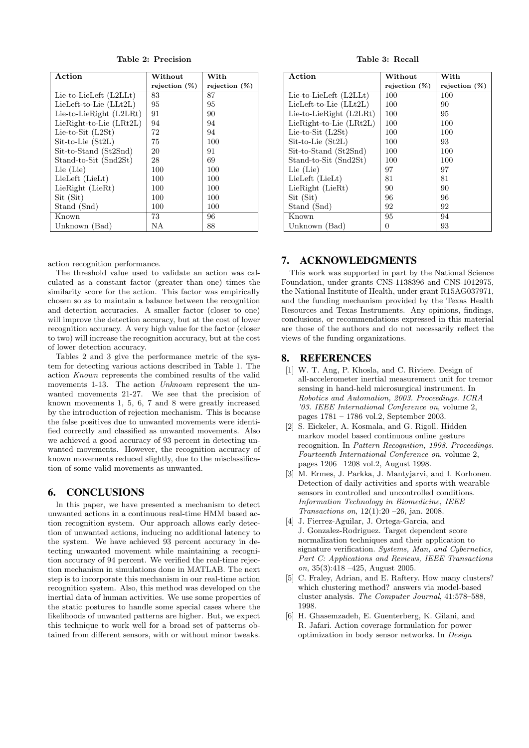Table 2: Precision

| Action                       | Without          | With             |
|------------------------------|------------------|------------------|
|                              | rejection $(\%)$ | rejection $(\%)$ |
| $Lie-to-LieLeft (L2LLt)$     | 83               | 87               |
| $LieLeft-to-Lie (LLt2L)$     | 95               | 95               |
| Lie-to-LieRight (L2LRt)      | 91               | 90               |
| $LieRight-to-Lie (LRt2L)$    | 94               | 94               |
| Lie-to-Sit $(L2St)$          | 72               | 94               |
| $\text{Sit-to-Lie (St2L)}$   | 75               | 100              |
| Sit-to-Stand (St2Snd)        | 20               | 91               |
| Stand-to-Sit (Snd2St)        | 28               | 69               |
| Lie $(Lie)$                  | 100              | 100              |
| $LieLeft$ ( $LieLt$ )        | 100              | 100              |
| LieRight (LieRt)             | 100              | 100              |
| $\mathrm{Sit}(\mathrm{Sit})$ | 100              | 100              |
| Stand (Snd)                  | 100              | 100              |
| Known                        | 73               | 96               |
| Unknown (Bad)                | ΝA               | 88               |

action recognition performance.

The threshold value used to validate an action was calculated as a constant factor (greater than one) times the similarity score for the action. This factor was empirically chosen so as to maintain a balance between the recognition and detection accuracies. A smaller factor (closer to one) will improve the detection accuracy, but at the cost of lower recognition accuracy. A very high value for the factor (closer to two) will increase the recognition accuracy, but at the cost of lower detection accuracy.

Tables 2 and 3 give the performance metric of the system for detecting various actions described in Table 1. The action Known represents the combined results of the valid movements 1-13. The action Unknown represent the unwanted movements 21-27. We see that the precision of known movements 1, 5, 6, 7 and 8 were greatly increased by the introduction of rejection mechanism. This is because the false positives due to unwanted movements were identified correctly and classified as unwanted movements. Also we achieved a good accuracy of 93 percent in detecting unwanted movements. However, the recognition accuracy of known movements reduced slightly, due to the misclassification of some valid movements as unwanted.

# 6. CONCLUSIONS

In this paper, we have presented a mechanism to detect unwanted actions in a continuous real-time HMM based action recognition system. Our approach allows early detection of unwanted actions, inducing no additional latency to the system. We have achieved 93 percent accuracy in detecting unwanted movement while maintaining a recognition accuracy of 94 percent. We verified the real-time rejection mechanism in simulations done in MATLAB. The next step is to incorporate this mechanism in our real-time action recognition system. Also, this method was developed on the inertial data of human activities. We use some properties of the static postures to handle some special cases where the likelihoods of unwanted patterns are higher. But, we expect this technique to work well for a broad set of patterns obtained from different sensors, with or without minor tweaks.

Table 3: Recall

| Action                       | Without       | With             |
|------------------------------|---------------|------------------|
|                              | rejection (%) | rejection $(\%)$ |
| $Lie-to-LieLeft (L2LLt)$     | 100           | 100              |
| $LieLeft-to-Lie (LLt2L)$     | 100           | 90               |
| $Lie-to-LieRight$ $(L2LRt)$  | 100           | 95               |
| $LieRight-to-Lie (LRt2L)$    | 100           | 100              |
| Lie-to-Sit $(L2St)$          | 100           | 100              |
| $\text{Sit-to-Lie (St2L)}$   | 100           | 93               |
| Sit-to-Stand (St2Snd)        | 100           | 100              |
| Stand-to-Sit (Snd2St)        | 100           | 100              |
| Lie $(Lie)$                  | 97            | 97               |
| $LieLeft$ ( $LieLt$ )        | 81            | 81               |
| $LieRight$ (LieRt)           | 90            | 90               |
| $\mathrm{Sit}(\mathrm{Sit})$ | 96            | 96               |
| Stand (Snd)                  | 92            | 92               |
| Known                        | 95            | 94               |
| Unknown (Bad)                | 0             | 93               |

# 7. ACKNOWLEDGMENTS

This work was supported in part by the National Science Foundation, under grants CNS-1138396 and CNS-1012975, the National Institute of Health, under grant R15AG037971, and the funding mechanism provided by the Texas Health Resources and Texas Instruments. Any opinions, findings, conclusions, or recommendations expressed in this material are those of the authors and do not necessarily reflect the views of the funding organizations.

## 8. REFERENCES

- [1] W. T. Ang, P. Khosla, and C. Riviere. Design of all-accelerometer inertial measurement unit for tremor sensing in hand-held microsurgical instrument. In Robotics and Automation, 2003. Proceedings. ICRA '03. IEEE International Conference on, volume 2, pages 1781 – 1786 vol.2, September 2003.
- [2] S. Eickeler, A. Kosmala, and G. Rigoll. Hidden markov model based continuous online gesture recognition. In Pattern Recognition, 1998. Proceedings. Fourteenth International Conference on, volume 2, pages 1206 –1208 vol.2, August 1998.
- [3] M. Ermes, J. Parkka, J. Mantviarvi, and I. Korhonen. Detection of daily activities and sports with wearable sensors in controlled and uncontrolled conditions. Information Technology in Biomedicine, IEEE Transactions on, 12(1):20 –26, jan. 2008.
- [4] J. Fierrez-Aguilar, J. Ortega-Garcia, and J. Gonzalez-Rodriguez. Target dependent score normalization techniques and their application to signature verification. Systems, Man, and Cybernetics, Part C: Applications and Reviews, IEEE Transactions on, 35(3):418 –425, August 2005.
- [5] C. Fraley, Adrian, and E. Raftery. How many clusters? which clustering method? answers via model-based cluster analysis. The Computer Journal, 41:578–588, 1998.
- [6] H. Ghasemzadeh, E. Guenterberg, K. Gilani, and R. Jafari. Action coverage formulation for power optimization in body sensor networks. In Design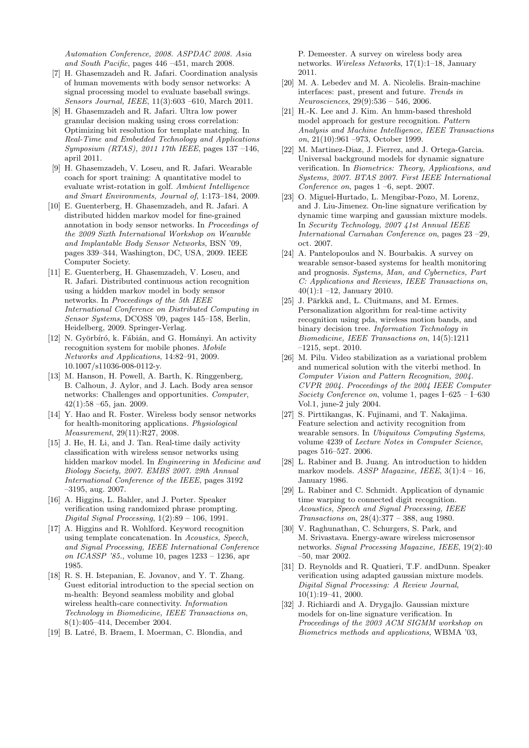Automation Conference, 2008. ASPDAC 2008. Asia and South Pacific, pages 446 –451, march 2008.

- [7] H. Ghasemzadeh and R. Jafari. Coordination analysis of human movements with body sensor networks: A signal processing model to evaluate baseball swings. Sensors Journal, IEEE, 11(3):603 –610, March 2011.
- [8] H. Ghasemzadeh and R. Jafari. Ultra low power granular decision making using cross correlation: Optimizing bit resolution for template matching. In Real-Time and Embedded Technology and Applications Symposium (RTAS), 2011 17th IEEE, pages 137 –146, april 2011.
- [9] H. Ghasemzadeh, V. Loseu, and R. Jafari. Wearable coach for sport training: A quantitative model to evaluate wrist-rotation in golf. Ambient Intelligence and Smart Environments, Journal of, 1:173–184, 2009.
- [10] E. Guenterberg, H. Ghasemzadeh, and R. Jafari. A distributed hidden markov model for fine-grained annotation in body sensor networks. In Proceedings of the 2009 Sixth International Workshop on Wearable and Implantable Body Sensor Networks, BSN '09, pages 339–344, Washington, DC, USA, 2009. IEEE Computer Society.
- [11] E. Guenterberg, H. Ghasemzadeh, V. Loseu, and R. Jafari. Distributed continuous action recognition using a hidden markov model in body sensor networks. In Proceedings of the 5th IEEE International Conference on Distributed Computing in Sensor Systems, DCOSS '09, pages 145–158, Berlin, Heidelberg, 2009. Springer-Verlag.
- [12] N. Györbíró, k. Fábián, and G. Hományi. An activity recognition system for mobile phones. Mobile Networks and Applications, 14:82–91, 2009. 10.1007/s11036-008-0112-y.
- [13] M. Hanson, H. Powell, A. Barth, K. Ringgenberg, B. Calhoun, J. Aylor, and J. Lach. Body area sensor networks: Challenges and opportunities. Computer, 42(1):58 –65, jan. 2009.
- [14] Y. Hao and R. Foster. Wireless body sensor networks for health-monitoring applications. Physiological Measurement, 29(11):R27, 2008.
- [15] J. He, H. Li, and J. Tan. Real-time daily activity classification with wireless sensor networks using hidden markov model. In Engineering in Medicine and Biology Society, 2007. EMBS 2007. 29th Annual International Conference of the IEEE, pages 3192 –3195, aug. 2007.
- [16] A. Higgins, L. Bahler, and J. Porter. Speaker verification using randomized phrase prompting. Digital Signal Processing,  $1(2):89 - 106$ , 1991.
- [17] A. Higgins and R. Wohlford. Keyword recognition using template concatenation. In Acoustics, Speech, and Signal Processing, IEEE International Conference on ICASSP '85., volume 10, pages 1233 – 1236, apr 1985.
- [18] R. S. H. Istepanian, E. Jovanov, and Y. T. Zhang. Guest editorial introduction to the special section on m-health: Beyond seamless mobility and global wireless health-care connectivity. Information Technology in Biomedicine, IEEE Transactions on, 8(1):405–414, December 2004.
- [19] B. Latré, B. Braem, I. Moerman, C. Blondia, and

P. Demeester. A survey on wireless body area networks. Wireless Networks, 17(1):1–18, January 2011.

- [20] M. A. Lebedev and M. A. Nicolelis. Brain-machine interfaces: past, present and future. Trends in Neurosciences, 29(9):536 – 546, 2006.
- [21] H.-K. Lee and J. Kim. An hmm-based threshold model approach for gesture recognition. Pattern Analysis and Machine Intelligence, IEEE Transactions on, 21(10):961 –973, October 1999.
- [22] M. Martinez-Diaz, J. Fierrez, and J. Ortega-Garcia. Universal background models for dynamic signature verification. In Biometrics: Theory, Applications, and Systems, 2007. BTAS 2007. First IEEE International Conference on, pages 1 –6, sept. 2007.
- [23] O. Miguel-Hurtado, L. Mengibar-Pozo, M. Lorenz, and J. Liu-Jimenez. On-line signature verification by dynamic time warping and gaussian mixture models. In Security Technology, 2007 41st Annual IEEE International Carnahan Conference on, pages 23 –29, oct. 2007.
- [24] A. Pantelopoulos and N. Bourbakis. A survey on wearable sensor-based systems for health monitoring and prognosis. Systems, Man, and Cybernetics, Part C: Applications and Reviews, IEEE Transactions on,  $40(1):1 -12$ , January 2010.
- [25] J. Pärkkä and, L. Cluitmans, and M. Ermes. Personalization algorithm for real-time activity recognition using pda, wireless motion bands, and binary decision tree. Information Technology in Biomedicine, IEEE Transactions on, 14(5):1211 –1215, sept. 2010.
- [26] M. Pilu. Video stabilization as a variational problem and numerical solution with the viterbi method. In Computer Vision and Pattern Recognition, 2004. CVPR 2004. Proceedings of the 2004 IEEE Computer Society Conference on, volume 1, pages I–625 – I–630 Vol.1, june-2 july 2004.
- [27] S. Pirttikangas, K. Fujinami, and T. Nakajima. Feature selection and activity recognition from wearable sensors. In Ubiquitous Computing Systems, volume 4239 of Lecture Notes in Computer Science, pages 516–527. 2006.
- [28] L. Rabiner and B. Juang. An introduction to hidden markov models. ASSP Magazine, IEEE,  $3(1):4 - 16$ , January 1986.
- [29] L. Rabiner and C. Schmidt. Application of dynamic time warping to connected digit recognition. Acoustics, Speech and Signal Processing, IEEE Transactions on, 28(4):377 – 388, aug 1980.
- [30] V. Raghunathan, C. Schurgers, S. Park, and M. Srivastava. Energy-aware wireless microsensor networks. Signal Processing Magazine, IEEE, 19(2):40 –50, mar 2002.
- [31] D. Reynolds and R. Quatieri, T.F. andDunn. Speaker verification using adapted gaussian mixture models. Digital Signal Processing: A Review Journal, 10(1):19–41, 2000.
- [32] J. Richiardi and A. Drygajlo. Gaussian mixture models for on-line signature verification. In Proceedings of the 2003 ACM SIGMM workshop on Biometrics methods and applications, WBMA '03,